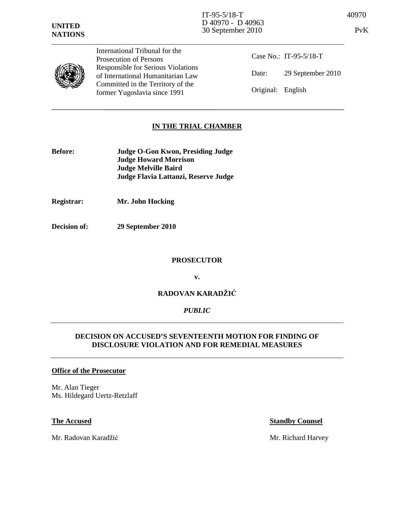



International Tribunal for the Prosecution of Persons Responsible for Serious Violations of International Humanitarian Law Committed in the Territory of the former Yugoslavia since 1991

Case No.: IT-95-5/18-T Date: 29 September 2010 Original: English

# **IN THE TRIAL CHAMBER**

- **Before: Judge O-Gon Kwon, Presiding Judge Judge Howard Morrison Judge Melville Baird Judge Flavia Lattanzi, Reserve Judge**
- **Registrar: Mr. John Hocking**
- **Decision of: 29 September 2010**

#### **PROSECUTOR**

**v.** 

# **RADOVAN KARADŽI**Ć

## *PUBLIC*

## **DECISION ON ACCUSED'S SEVENTEENTH MOTION FOR FINDING OF DISCLOSURE VIOLATION AND FOR REMEDIAL MEASURES**

#### **Office of the Prosecutor**

Mr. Alan Tieger Ms. Hildegard Uertz-Retzlaff

Mr. Radovan Karadžić Mr. Richard Harvey

#### **The Accused Standby Counsel**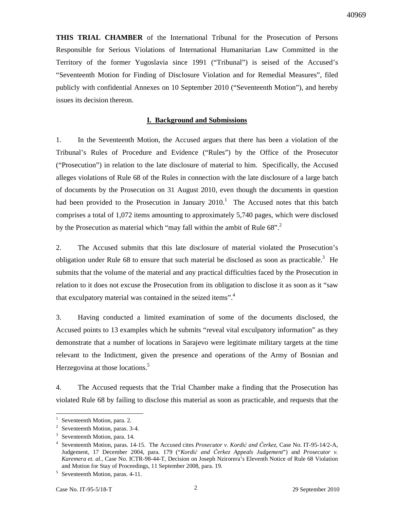**THIS TRIAL CHAMBER** of the International Tribunal for the Prosecution of Persons Responsible for Serious Violations of International Humanitarian Law Committed in the Territory of the former Yugoslavia since 1991 ("Tribunal") is seised of the Accused's "Seventeenth Motion for Finding of Disclosure Violation and for Remedial Measures", filed publicly with confidential Annexes on 10 September 2010 ("Seventeenth Motion"), and hereby issues its decision thereon.

### **I. Background and Submissions**

1. In the Seventeenth Motion, the Accused argues that there has been a violation of the Tribunal's Rules of Procedure and Evidence ("Rules") by the Office of the Prosecutor ("Prosecution") in relation to the late disclosure of material to him. Specifically, the Accused alleges violations of Rule 68 of the Rules in connection with the late disclosure of a large batch of documents by the Prosecution on 31 August 2010, even though the documents in question had been provided to the Prosecution in January  $2010<sup>1</sup>$  The Accused notes that this batch comprises a total of 1,072 items amounting to approximately 5,740 pages, which were disclosed by the Prosecution as material which "may fall within the ambit of Rule  $68$ ".<sup>2</sup>

2. The Accused submits that this late disclosure of material violated the Prosecution's obligation under Rule 68 to ensure that such material be disclosed as soon as practicable.<sup>3</sup> He submits that the volume of the material and any practical difficulties faced by the Prosecution in relation to it does not excuse the Prosecution from its obligation to disclose it as soon as it "saw that exculpatory material was contained in the seized items".<sup>4</sup>

3. Having conducted a limited examination of some of the documents disclosed, the Accused points to 13 examples which he submits "reveal vital exculpatory information" as they demonstrate that a number of locations in Sarajevo were legitimate military targets at the time relevant to the Indictment, given the presence and operations of the Army of Bosnian and Herzegovina at those locations.<sup>5</sup>

4. The Accused requests that the Trial Chamber make a finding that the Prosecution has violated Rule 68 by failing to disclose this material as soon as practicable, and requests that the

<sup>1</sup> Seventeenth Motion, para. 2.

 $2^2$  Seventeenth Motion, paras. 3-4.

<sup>3</sup> Seventeenth Motion, para. 14.

<sup>4</sup> Seventeenth Motion, paras. 14-15. The Accused cites *Prosecutor v. Kordi*ć *and* Č*erkez*, Case No. IT-95-14/2-A, Judgement, 17 December 2004, para. 179 ("*Kordi*ć *and* Č*erkez Appeals Judgement*") and *Prosecutor v. Karemera et. al.,* Case No. ICTR-98-44-T, Decision on Joseph Nzirorera's Eleventh Notice of Rule 68 Violation and Motion for Stay of Proceedings, 11 September 2008, para. 19.

<sup>&</sup>lt;sup>5</sup> Seventeenth Motion, paras. 4-11.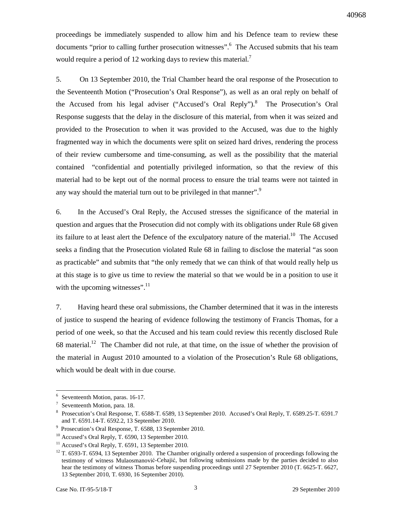proceedings be immediately suspended to allow him and his Defence team to review these documents "prior to calling further prosecution witnesses". <sup>6</sup> The Accused submits that his team would require a period of 12 working days to review this material.<sup>7</sup>

5. On 13 September 2010, the Trial Chamber heard the oral response of the Prosecution to the Seventeenth Motion ("Prosecution's Oral Response"), as well as an oral reply on behalf of the Accused from his legal adviser ("Accused's Oral Reply").<sup>8</sup> The Prosecution's Oral Response suggests that the delay in the disclosure of this material, from when it was seized and provided to the Prosecution to when it was provided to the Accused, was due to the highly fragmented way in which the documents were split on seized hard drives, rendering the process of their review cumbersome and time-consuming, as well as the possibility that the material contained "confidential and potentially privileged information, so that the review of this material had to be kept out of the normal process to ensure the trial teams were not tainted in any way should the material turn out to be privileged in that manner".<sup>9</sup>

6. In the Accused's Oral Reply, the Accused stresses the significance of the material in question and argues that the Prosecution did not comply with its obligations under Rule 68 given its failure to at least alert the Defence of the exculpatory nature of the material.<sup>10</sup> The Accused seeks a finding that the Prosecution violated Rule 68 in failing to disclose the material "as soon as practicable" and submits that "the only remedy that we can think of that would really help us at this stage is to give us time to review the material so that we would be in a position to use it with the upcoming witnesses".<sup>11</sup>

7. Having heard these oral submissions, the Chamber determined that it was in the interests of justice to suspend the hearing of evidence following the testimony of Francis Thomas, for a period of one week, so that the Accused and his team could review this recently disclosed Rule 68 material.<sup>12</sup> The Chamber did not rule, at that time, on the issue of whether the provision of the material in August 2010 amounted to a violation of the Prosecution's Rule 68 obligations, which would be dealt with in due course.

<sup>6</sup> Seventeenth Motion, paras. 16-17.

<sup>7</sup> Seventeenth Motion, para. 18.

<sup>8</sup> Prosecution's Oral Response, T. 6588-T. 6589, 13 September 2010. Accused's Oral Reply, T. 6589.25-T. 6591.7 and T. 6591.14-T. 6592.2, 13 September 2010.

<sup>9</sup> Prosecution's Oral Response, T. 6588, 13 September 2010.

 $10$  Accused's Oral Reply, T. 6590, 13 September 2010.

<sup>&</sup>lt;sup>11</sup> Accused's Oral Reply, T. 6591, 13 September 2010.

 $12$  T. 6593-T. 6594, 13 September 2010. The Chamber originally ordered a suspension of proceedings following the testimony of witness Mulaosmanović-Cehajić, but following submissions made by the parties decided to also hear the testimony of witness Thomas before suspending proceedings until 27 September 2010 (T. 6625-T. 6627, 13 September 2010, T. 6930, 16 September 2010).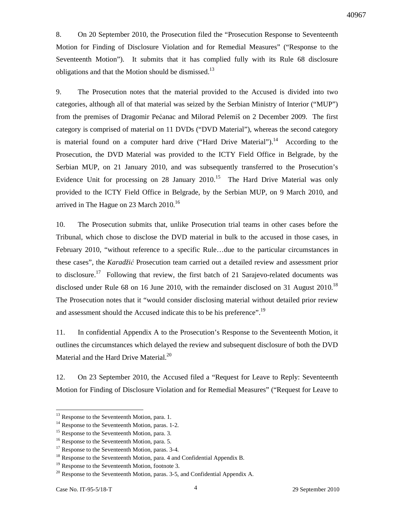8. On 20 September 2010, the Prosecution filed the "Prosecution Response to Seventeenth Motion for Finding of Disclosure Violation and for Remedial Measures" ("Response to the Seventeenth Motion"). It submits that it has complied fully with its Rule 68 disclosure obligations and that the Motion should be dismissed.<sup>13</sup>

9. The Prosecution notes that the material provided to the Accused is divided into two categories, although all of that material was seized by the Serbian Ministry of Interior ("MUP") from the premises of Dragomir Pećanac and Milorad Pelemiš on 2 December 2009. The first category is comprised of material on 11 DVDs ("DVD Material"), whereas the second category is material found on a computer hard drive ("Hard Drive Material").<sup>14</sup> According to the Prosecution, the DVD Material was provided to the ICTY Field Office in Belgrade, by the Serbian MUP, on 21 January 2010, and was subsequently transferred to the Prosecution's Evidence Unit for processing on 28 January  $2010$ <sup>15</sup> The Hard Drive Material was only provided to the ICTY Field Office in Belgrade, by the Serbian MUP, on 9 March 2010, and arrived in The Hague on 23 March  $2010^{16}$ 

10. The Prosecution submits that, unlike Prosecution trial teams in other cases before the Tribunal, which chose to disclose the DVD material in bulk to the accused in those cases, in February 2010, "without reference to a specific Rule…due to the particular circumstances in these cases", the *Karadži*ć Prosecution team carried out a detailed review and assessment prior to disclosure.<sup>17</sup> Following that review, the first batch of 21 Sarajevo-related documents was disclosed under Rule 68 on 16 June 2010, with the remainder disclosed on 31 August  $2010^{18}$ The Prosecution notes that it "would consider disclosing material without detailed prior review and assessment should the Accused indicate this to be his preference".<sup>19</sup>

11. In confidential Appendix A to the Prosecution's Response to the Seventeenth Motion, it outlines the circumstances which delayed the review and subsequent disclosure of both the DVD Material and the Hard Drive Material.<sup>20</sup>

12. On 23 September 2010, the Accused filed a "Request for Leave to Reply: Seventeenth Motion for Finding of Disclosure Violation and for Remedial Measures" ("Request for Leave to

<sup>&</sup>lt;sup>13</sup> Response to the Seventeenth Motion, para. 1.

<sup>&</sup>lt;sup>14</sup> Response to the Seventeenth Motion, paras. 1-2.

<sup>&</sup>lt;sup>15</sup> Response to the Seventeenth Motion, para. 3.

<sup>&</sup>lt;sup>16</sup> Response to the Seventeenth Motion, para. 5.

<sup>&</sup>lt;sup>17</sup> Response to the Seventeenth Motion, paras. 3-4.

<sup>&</sup>lt;sup>18</sup> Response to the Seventeenth Motion, para. 4 and Confidential Appendix B.

<sup>&</sup>lt;sup>19</sup> Response to the Seventeenth Motion, footnote 3.

 $20$  Response to the Seventeenth Motion, paras. 3-5, and Confidential Appendix A.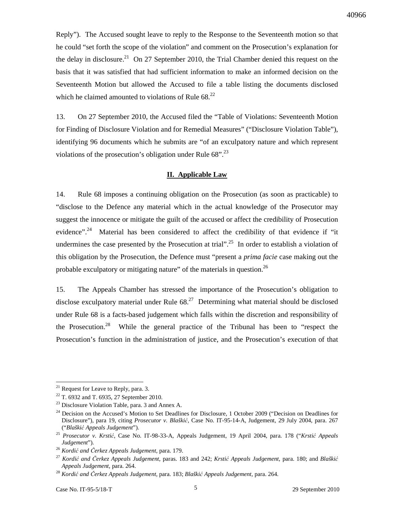Reply"). The Accused sought leave to reply to the Response to the Seventeenth motion so that he could "set forth the scope of the violation" and comment on the Prosecution's explanation for the delay in disclosure.<sup>21</sup> On 27 September 2010, the Trial Chamber denied this request on the basis that it was satisfied that had sufficient information to make an informed decision on the Seventeenth Motion but allowed the Accused to file a table listing the documents disclosed which he claimed amounted to violations of Rule  $68<sup>22</sup>$ 

13. On 27 September 2010, the Accused filed the "Table of Violations: Seventeenth Motion for Finding of Disclosure Violation and for Remedial Measures" ("Disclosure Violation Table"), identifying 96 documents which he submits are "of an exculpatory nature and which represent violations of the prosecution's obligation under Rule  $68"$ .<sup>23</sup>

#### **II. Applicable Law**

14. Rule 68 imposes a continuing obligation on the Prosecution (as soon as practicable) to "disclose to the Defence any material which in the actual knowledge of the Prosecutor may suggest the innocence or mitigate the guilt of the accused or affect the credibility of Prosecution evidence".<sup>24</sup> Material has been considered to affect the credibility of that evidence if "it undermines the case presented by the Prosecution at trial".<sup>25</sup> In order to establish a violation of this obligation by the Prosecution, the Defence must "present a *prima facie* case making out the probable exculpatory or mitigating nature" of the materials in question.<sup>26</sup>

15. The Appeals Chamber has stressed the importance of the Prosecution's obligation to disclose exculpatory material under Rule  $68<sup>27</sup>$  Determining what material should be disclosed under Rule 68 is a facts-based judgement which falls within the discretion and responsibility of the Prosecution.<sup>28</sup> While the general practice of the Tribunal has been to "respect the Prosecution's function in the administration of justice, and the Prosecution's execution of that

<sup>&</sup>lt;sup>21</sup> Request for Leave to Reply, para. 3.

<sup>22</sup> T. 6932 and T. 6935, 27 September 2010.

 $^{23}$  Disclosure Violation Table, para. 3 and Annex A.

<sup>&</sup>lt;sup>24</sup> Decision on the Accused's Motion to Set Deadlines for Disclosure, 1 October 2009 ("Decision on Deadlines for Disclosure"), para 19, citing *Prosecutor v. Blaški*ć, Case No. IT-95-14-A, Judgement, 29 July 2004, para. 267 ("*Blaški*ć *Appeals Judgement*").

<sup>25</sup> *Prosecutor v. Krsti*ć, Case No. IT-98-33-A, Appeals Judgement, 19 April 2004, para. 178 ("*Krsti*ć *Appeals Judgement*").

<sup>26</sup> *Kordi*ć *and* Č*erkez Appeals Judgement,* para. 179.

<sup>27</sup> *Kordi*ć *and* Č*erkez Appeals Judgement*, paras. 183 and 242; *Krsti*ć *Appeals Judgement*, para. 180; and *Blaški*ć *Appeals Judgement*, para. 264.

<sup>28</sup> *Kordi*ć *and* Č*erkez Appeals Judgement*, para. 183; *Blaški*ć *Appeals Judgement*, para. 264.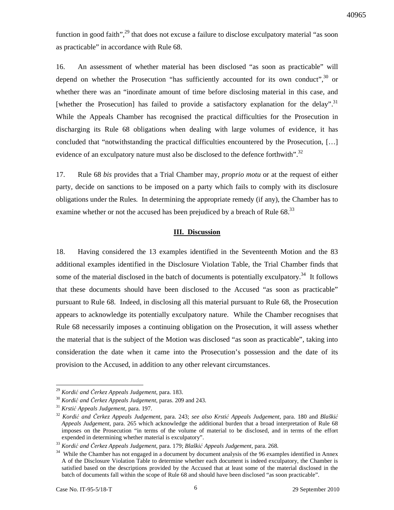function in good faith", $^{29}$  that does not excuse a failure to disclose exculpatory material "as soon as practicable" in accordance with Rule 68.

16. An assessment of whether material has been disclosed "as soon as practicable" will depend on whether the Prosecution "has sufficiently accounted for its own conduct", $30$  or whether there was an "inordinate amount of time before disclosing material in this case, and [whether the Prosecution] has failed to provide a satisfactory explanation for the delay".<sup>31</sup> While the Appeals Chamber has recognised the practical difficulties for the Prosecution in discharging its Rule 68 obligations when dealing with large volumes of evidence, it has concluded that "notwithstanding the practical difficulties encountered by the Prosecution, […] evidence of an exculpatory nature must also be disclosed to the defence forthwith".<sup>32</sup>

17. Rule 68 *bis* provides that a Trial Chamber may, *proprio motu* or at the request of either party, decide on sanctions to be imposed on a party which fails to comply with its disclosure obligations under the Rules. In determining the appropriate remedy (if any), the Chamber has to examine whether or not the accused has been prejudiced by a breach of Rule  $68.^{33}$ 

#### **III. Discussion**

18. Having considered the 13 examples identified in the Seventeenth Motion and the 83 additional examples identified in the Disclosure Violation Table, the Trial Chamber finds that some of the material disclosed in the batch of documents is potentially exculpatory.<sup>34</sup> It follows that these documents should have been disclosed to the Accused "as soon as practicable" pursuant to Rule 68. Indeed, in disclosing all this material pursuant to Rule 68, the Prosecution appears to acknowledge its potentially exculpatory nature. While the Chamber recognises that Rule 68 necessarily imposes a continuing obligation on the Prosecution, it will assess whether the material that is the subject of the Motion was disclosed "as soon as practicable", taking into consideration the date when it came into the Prosecution's possession and the date of its provision to the Accused, in addition to any other relevant circumstances.

<sup>29</sup> *Kordi*ć *and* Č*erkez Appeals Judgement*, para. 183.

<sup>30</sup> *Kordi*ć *and* Č*erkez Appeals Judgement,* paras. 209 and 243.

<sup>31</sup> *Krsti*ć *Appeals Judgement*, para. 197.

<sup>32</sup> *Kordi*ć *and* Č*erkez Appeals Judgement*, para. 243; *see also Krsti*ć *Appeals Judgement*, para. 180 and *Blaški*ć *Appeals Judgement*, para. 265 which acknowledge the additional burden that a broad interpretation of Rule 68 imposes on the Prosecution "in terms of the volume of material to be disclosed, and in terms of the effort expended in determining whether material is exculpatory".

<sup>33</sup> *Kordi*ć *and* Č*erkez Appeals Judgement*, para. 179; *Blaški*ć *Appeals Judgement*, para. 268.

<sup>&</sup>lt;sup>34</sup> While the Chamber has not engaged in a document by document analysis of the 96 examples identified in Annex A of the Disclosure Violation Table to determine whether each document is indeed exculpatory, the Chamber is satisfied based on the descriptions provided by the Accused that at least some of the material disclosed in the batch of documents fall within the scope of Rule 68 and should have been disclosed "as soon practicable".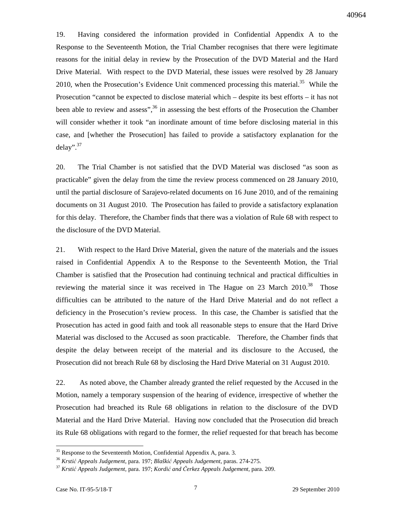19. Having considered the information provided in Confidential Appendix A to the Response to the Seventeenth Motion, the Trial Chamber recognises that there were legitimate reasons for the initial delay in review by the Prosecution of the DVD Material and the Hard Drive Material. With respect to the DVD Material, these issues were resolved by 28 January 2010, when the Prosecution's Evidence Unit commenced processing this material.<sup>35</sup> While the Prosecution "cannot be expected to disclose material which – despite its best efforts – it has not been able to review and assess",<sup>36</sup> in assessing the best efforts of the Prosecution the Chamber will consider whether it took "an inordinate amount of time before disclosing material in this case, and [whether the Prosecution] has failed to provide a satisfactory explanation for the delay". $37$ 

20. The Trial Chamber is not satisfied that the DVD Material was disclosed "as soon as practicable" given the delay from the time the review process commenced on 28 January 2010, until the partial disclosure of Sarajevo-related documents on 16 June 2010, and of the remaining documents on 31 August 2010. The Prosecution has failed to provide a satisfactory explanation for this delay. Therefore, the Chamber finds that there was a violation of Rule 68 with respect to the disclosure of the DVD Material.

21. With respect to the Hard Drive Material, given the nature of the materials and the issues raised in Confidential Appendix A to the Response to the Seventeenth Motion, the Trial Chamber is satisfied that the Prosecution had continuing technical and practical difficulties in reviewing the material since it was received in The Hague on 23 March  $2010^{38}$  Those difficulties can be attributed to the nature of the Hard Drive Material and do not reflect a deficiency in the Prosecution's review process. In this case, the Chamber is satisfied that the Prosecution has acted in good faith and took all reasonable steps to ensure that the Hard Drive Material was disclosed to the Accused as soon practicable. Therefore, the Chamber finds that despite the delay between receipt of the material and its disclosure to the Accused, the Prosecution did not breach Rule 68 by disclosing the Hard Drive Material on 31 August 2010.

22. As noted above, the Chamber already granted the relief requested by the Accused in the Motion, namely a temporary suspension of the hearing of evidence, irrespective of whether the Prosecution had breached its Rule 68 obligations in relation to the disclosure of the DVD Material and the Hard Drive Material. Having now concluded that the Prosecution did breach its Rule 68 obligations with regard to the former, the relief requested for that breach has become

 $\ddot{\phantom{a}}$ 

<sup>&</sup>lt;sup>35</sup> Response to the Seventeenth Motion, Confidential Appendix A, para. 3.

<sup>36</sup> *Krsti*ć *Appeals Judgement*, para. 197; *Blaški*ć *Appeals Judgement*, paras. 274-275.

<sup>37</sup> *Krsti*ć *Appeals Judgement,* para. 197; *Kordi*ć *and* Č*erkez Appeals Judgement*, para. 209.